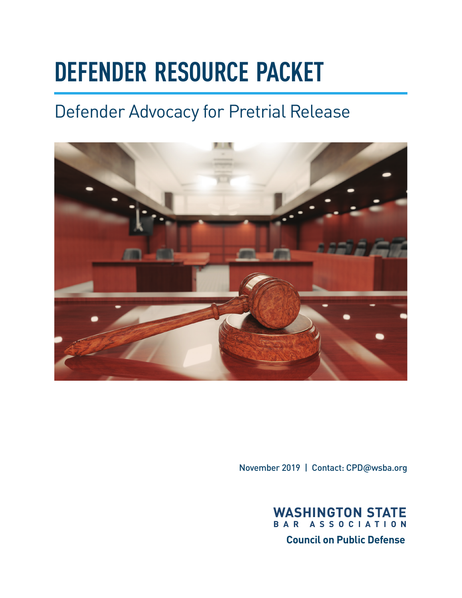# **DEFENDER RESOURCE PACKET**

# Defender Advocacy for Pretrial Release



November 2019 | Contact: [CPD@wsba.org](mailto:CPD@wsba.org)



**Council on Public Defense**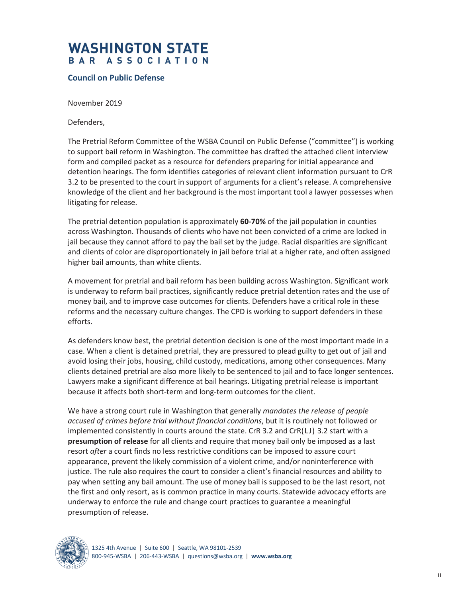### **WASHINGTON STATE** BAR ASSOCIATION

#### **Council on Public Defense**

November 2019

Defenders,

The Pretrial Reform Committee of the WSBA Council on Public Defense ("committee") is working to support bail reform in Washington. The committee has drafted the attached client interview form and compiled packet as a resource for defenders preparing for initial appearance and detention hearings. The form identifies categories of relevant client information pursuant to CrR 3.2 to be presented to the court in support of arguments for a client's release. A comprehensive knowledge of the client and her background is the most important tool a lawyer possesses when litigating for release.

The pretrial detention population is approximately **60-70%** of the jail population in counties across Washington. Thousands of clients who have not been convicted of a crime are locked in jail because they cannot afford to pay the bail set by the judge. Racial disparities are significant and clients of color are disproportionately in jail before trial at a higher rate, and often assigned higher bail amounts, than white clients.

A movement for pretrial and bail reform has been building across Washington. Significant work is underway to reform bail practices, significantly reduce pretrial detention rates and the use of money bail, and to improve case outcomes for clients. Defenders have a critical role in these reforms and the necessary culture changes. The CPD is working to support defenders in these efforts.

As defenders know best, the pretrial detention decision is one of the most important made in a case. When a client is detained pretrial, they are pressured to plead guilty to get out of jail and avoid losing their jobs, housing, child custody, medications, among other consequences. Many clients detained pretrial are also more likely to be sentenced to jail and to face longer sentences. Lawyers make a significant difference at bail hearings. Litigating pretrial release is important because it affects both short-term and long-term outcomes for the client.

We have a strong court rule in Washington that generally *mandates the release of people accused of crimes before trial without financial conditions*, but it is routinely not followed or implemented consistently in courts around the state. CrR 3.2 and CrR(LJ) 3.2 start with a **presumption of release** for all clients and require that money bail only be imposed as a last resort *after* a court finds no less restrictive conditions can be imposed to assure court appearance, prevent the likely commission of a violent crime, and/or noninterference with justice. The rule also requires the court to consider a client's financial resources and ability to pay when setting any bail amount. The use of money bail is supposed to be the last resort, not the first and only resort, as is common practice in many courts. Statewide advocacy efforts are underway to enforce the rule and change court practices to guarantee a meaningful presumption of release.



1325 4th Avenue | Suite 600 | Seattle, WA 98101-2539 800-945-WSBA | 206-443-WSBA | questions@wsba.org | **www.wsba.org**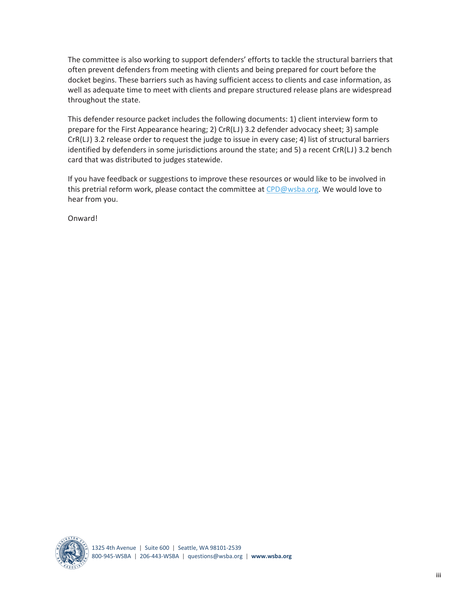The committee is also working to support defenders' efforts to tackle the structural barriers that often prevent defenders from meeting with clients and being prepared for court before the docket begins. These barriers such as having sufficient access to clients and case information, as well as adequate time to meet with clients and prepare structured release plans are widespread throughout the state.

This defender resource packet includes the following documents: 1) client interview form to prepare for the First Appearance hearing; 2) CrR(LJ) 3.2 defender advocacy sheet; 3) sample CrR(LJ) 3.2 release order to request the judge to issue in every case; 4) list of structural barriers identified by defenders in some jurisdictions around the state; and 5) a recent CrR(LJ) 3.2 bench card that was distributed to judges statewide.

If you have feedback or suggestions to improve these resources or would like to be involved in this pretrial reform work, please contact the committee at CPD@wsba.org. We would love to hear from you.

Onward!

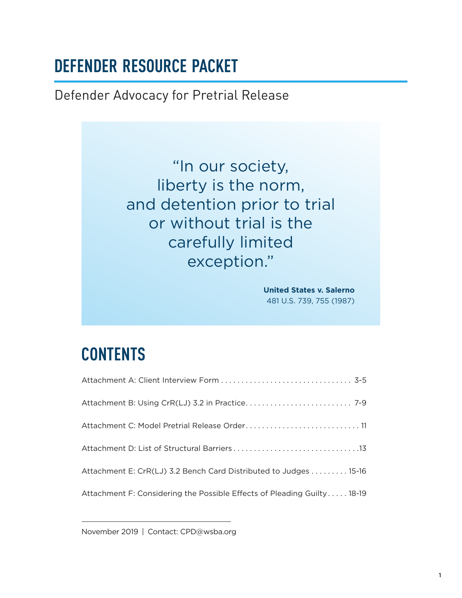### **DEFENDER RESOURCE PACKET**

Defender Advocacy for Pretrial Release

"In our society, liberty is the norm, and detention prior to trial or without trial is the carefully limited exception."

> **United States v. Salerno**  481 U.S. 739, 755 (1987)

### **CONTENTS**

| Attachment C: Model Pretrial Release Order 11                           |
|-------------------------------------------------------------------------|
|                                                                         |
| Attachment E: CrR(LJ) 3.2 Bench Card Distributed to Judges 15-16        |
| Attachment F: Considering the Possible Effects of Pleading Guilty 18-19 |

November 2019 | Contact: [CPD@wsba.org](mailto:CPD@wsba.org)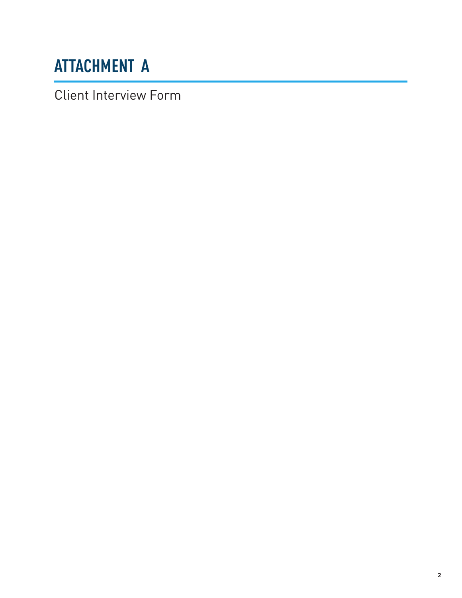# <span id="page-4-0"></span>**ATTACHMENT A**

Client Interview Form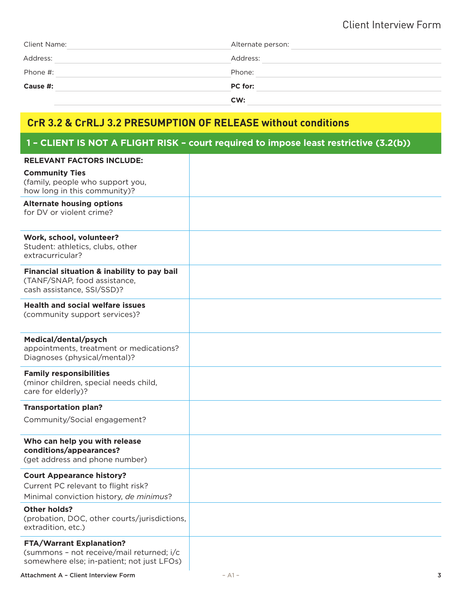#### Client Interview Form

| Client Name: | Alternate person: |  |  |
|--------------|-------------------|--|--|
| Address:     | Address:          |  |  |
| Phone #:     | Phone:            |  |  |
| Cause #:     | <b>PC</b> for:    |  |  |
|              | CW:               |  |  |

### **CrR 3.2 & CrRLJ 3.2 PRESUMPTION OF RELEASE without conditions**

#### **1 – CLIENT IS NOT A FLIGHT RISK – court required to impose least restrictive (3.2(b))**

| <b>RELEVANT FACTORS INCLUDE:</b>                                                                                           |  |
|----------------------------------------------------------------------------------------------------------------------------|--|
| <b>Community Ties</b><br>(family, people who support you,<br>how long in this community)?                                  |  |
| <b>Alternate housing options</b><br>for DV or violent crime?                                                               |  |
| Work, school, volunteer?<br>Student: athletics, clubs, other<br>extracurricular?                                           |  |
| Financial situation & inability to pay bail<br>(TANF/SNAP, food assistance,<br>cash assistance, SSI/SSD)?                  |  |
| <b>Health and social welfare issues</b><br>(community support services)?                                                   |  |
| Medical/dental/psych<br>appointments, treatment or medications?<br>Diagnoses (physical/mental)?                            |  |
| <b>Family responsibilities</b><br>(minor children, special needs child,<br>care for elderly)?                              |  |
| <b>Transportation plan?</b>                                                                                                |  |
| Community/Social engagement?                                                                                               |  |
| Who can help you with release<br>conditions/appearances?<br>(get address and phone number)                                 |  |
| <b>Court Appearance history?</b><br>Current PC relevant to flight risk?<br>Minimal conviction history, de minimus?         |  |
| <b>Other holds?</b><br>(probation, DOC, other courts/jurisdictions,<br>extradition, etc.)                                  |  |
| <b>FTA/Warrant Explanation?</b><br>(summons - not receive/mail returned; i/c<br>somewhere else; in-patient; not just LFOs) |  |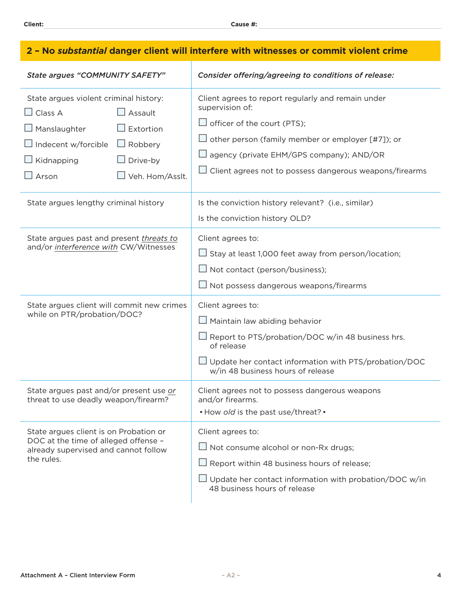| 2 - No substantial danger client will interfere with witnesses or commit violent crime                                                                                                                                                    |                                                                                                                                                                                                                                                                                           |  |  |
|-------------------------------------------------------------------------------------------------------------------------------------------------------------------------------------------------------------------------------------------|-------------------------------------------------------------------------------------------------------------------------------------------------------------------------------------------------------------------------------------------------------------------------------------------|--|--|
| <b>State argues "COMMUNITY SAFETY"</b>                                                                                                                                                                                                    | Consider offering/agreeing to conditions of release:                                                                                                                                                                                                                                      |  |  |
| State argues violent criminal history:<br>$\Box$ Assault<br>$\Box$ Class A<br>$\Box$ Manslaughter<br>Extortion<br>$\Box$ Indecent w/forcible<br>$\Box$ Robbery<br>$\Box$ Kidnapping<br>$\Box$ Drive-by<br>$\Box$ Arson<br>Veh. Hom/Asslt. | Client agrees to report regularly and remain under<br>supervision of:<br>$\Box$ officer of the court (PTS);<br>$\Box$ other person (family member or employer [#7]); or<br>□ agency (private EHM/GPS company); AND/OR<br>$\sqcup$ Client agrees not to possess dangerous weapons/firearms |  |  |
| State argues lengthy criminal history                                                                                                                                                                                                     | Is the conviction history relevant? (i.e., similar)<br>Is the conviction history OLD?                                                                                                                                                                                                     |  |  |
| State argues past and present threats to<br>and/or interference with CW/Witnesses                                                                                                                                                         | Client agrees to:<br>$\Box$ Stay at least 1,000 feet away from person/location;<br>$\Box$ Not contact (person/business);<br>$\Box$ Not possess dangerous weapons/firearms                                                                                                                 |  |  |
| State argues client will commit new crimes<br>while on PTR/probation/DOC?                                                                                                                                                                 | Client agrees to:<br>$\Box$ Maintain law abiding behavior<br>$\Box$ Report to PTS/probation/DOC w/in 48 business hrs.<br>of release<br>$\Box$ Update her contact information with PTS/probation/DOC<br>w/in 48 business hours of release                                                  |  |  |
| State argues past and/or present use or<br>threat to use deadly weapon/firearm?                                                                                                                                                           | Client agrees not to possess dangerous weapons<br>and/or firearms.<br>• How old is the past use/threat? •                                                                                                                                                                                 |  |  |
| State argues client is on Probation or<br>DOC at the time of alleged offense -<br>already supervised and cannot follow<br>the rules.                                                                                                      | Client agrees to:<br>$\Box$ Not consume alcohol or non-Rx drugs;<br>$\Box$ Report within 48 business hours of release;<br>$\Box$ Update her contact information with probation/DOC w/in<br>48 business hours of release                                                                   |  |  |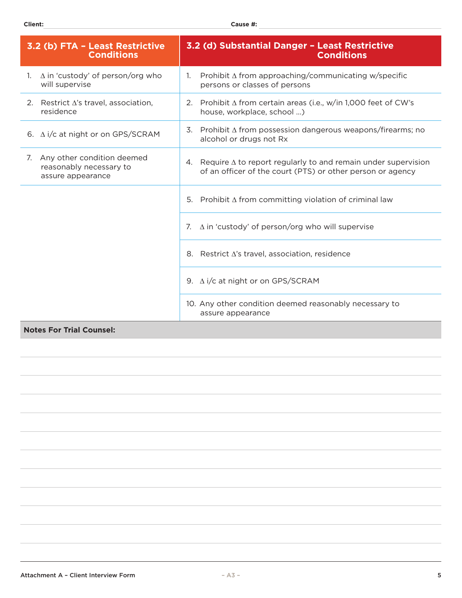| 3.2 (b) FTA - Least Restrictive<br><b>Conditions</b>                          | 3.2 (d) Substantial Danger - Least Restrictive<br><b>Conditions</b>                                                                      |  |
|-------------------------------------------------------------------------------|------------------------------------------------------------------------------------------------------------------------------------------|--|
| $\Delta$ in 'custody' of person/org who<br>1.<br>will supervise               | Prohibit $\Delta$ from approaching/communicating w/specific<br>$\mathbf{1}$ .<br>persons or classes of persons                           |  |
| 2. Restrict $\Delta$ 's travel, association,<br>residence                     | Prohibit $\Delta$ from certain areas (i.e., w/in 1,000 feet of CW's<br>2.<br>house, workplace, school )                                  |  |
| 6. $\Delta$ i/c at night or on GPS/SCRAM                                      | Prohibit $\Delta$ from possession dangerous weapons/firearms; no<br>3.<br>alcohol or drugs not Rx                                        |  |
| 7. Any other condition deemed<br>reasonably necessary to<br>assure appearance | Require $\Delta$ to report regularly to and remain under supervision<br>4.<br>of an officer of the court (PTS) or other person or agency |  |
|                                                                               | 5. Prohibit $\Delta$ from committing violation of criminal law                                                                           |  |
|                                                                               | $\Delta$ in 'custody' of person/org who will supervise<br>7.                                                                             |  |
|                                                                               | Restrict $\Delta$ 's travel, association, residence<br>8.                                                                                |  |
|                                                                               | 9. $\Delta$ i/c at night or on GPS/SCRAM                                                                                                 |  |
|                                                                               | 10. Any other condition deemed reasonably necessary to<br>assure appearance                                                              |  |

#### **Notes For Trial Counsel:**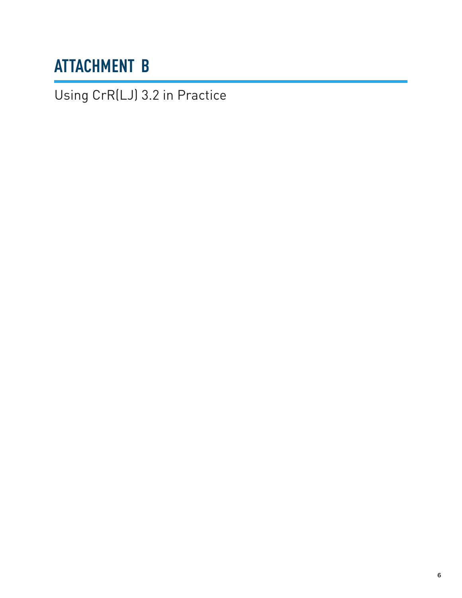## <span id="page-8-0"></span>**ATTACHMENT B**

Using CrR(LJ) 3.2 in Practice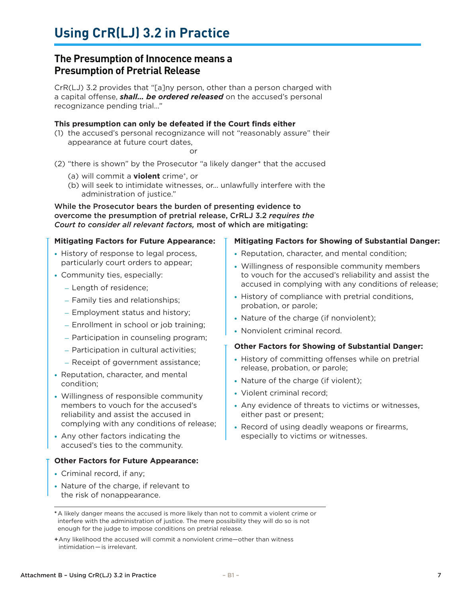#### **The Presumption of Innocence means a Presumption of Pretrial Release**

CrR(LJ) 3.2 provides that "[a]ny person, other than a person charged with a capital offense, *shall… be ordered released* on the accused's personal recognizance pending trial…"

#### **This presumption can only be defeated if the Court finds either**

(1) the accused's personal recognizance will not "reasonably assure" their appearance at future court dates,

or

- (2) "there is shown" by the Prosecutor "a likely danger\* that the accused
	- (a) will commit a **violent** crime<sup>+</sup>, or
	- (b) will seek to intimidate witnesses, or… unlawfully interfere with the administration of justice."

While the Prosecutor bears the burden of presenting evidence to overcome the presumption of pretrial release, CrRLJ 3.2 *requires the Court to consider all relevant factors,* most of which are mitigating:

#### **Mitigating Factors for Future Appearance:**

- History of response to legal process, particularly court orders to appear;
- Community ties, especially:
	- Length of residence;
	- Family ties and relationships;
	- Employment status and history;
	- Enrollment in school or job training;
	- Participation in counseling program;
	- Participation in cultural activities;
	- Receipt of government assistance;
- Reputation, character, and mental condition;
- Willingness of responsible community members to vouch for the accused's reliability and assist the accused in complying with any conditions of release;
- Any other factors indicating the accused's ties to the community.

#### **Other Factors for Future Appearance:**

- Criminal record, if any;
- Nature of the charge, if relevant to the risk of nonappearance.

#### **Mitigating Factors for Showing of Substantial Danger:**

- Reputation, character, and mental condition;
- Willingness of responsible community members to vouch for the accused's reliability and assist the accused in complying with any conditions of release;
- History of compliance with pretrial conditions, probation, or parole;
- Nature of the charge (if nonviolent);
- Nonviolent criminal record.

#### **Other Factors for Showing of Substantial Danger:**

- History of committing offenses while on pretrial release, probation, or parole;
- Nature of the charge (if violent);
- Violent criminal record;
- Any evidence of threats to victims or witnesses, either past or present;
- Record of using deadly weapons or firearms, especially to victims or witnesses.

**<sup>\*</sup>**A likely danger means the accused is more likely than not to commit a violent crime or interfere with the administration of justice. The mere possibility they will do so is not enough for the judge to impose conditions on pretrial release.

<sup>+</sup>Any likelihood the accused will commit a nonviolent crime—other than witness intimidation — is irrelevant.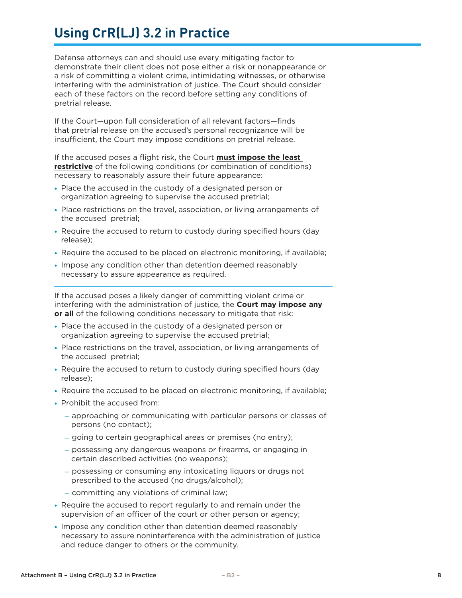### **Using CrR(LJ) 3.2 in Practice**

Defense attorneys can and should use every mitigating factor to demonstrate their client does not pose either a risk or nonappearance or a risk of committing a violent crime, intimidating witnesses, or otherwise interfering with the administration of justice. The Court should consider each of these factors on the record before setting any conditions of pretrial release.

If the Court—upon full consideration of all relevant factors—finds that pretrial release on the accused's personal recognizance will be insufficient, the Court may impose conditions on pretrial release.

If the accused poses a flight risk, the Court **must impose the least restrictive** of the following conditions (or combination of conditions) necessary to reasonably assure their future appearance:

- Place the accused in the custody of a designated person or organization agreeing to supervise the accused pretrial;
- Place restrictions on the travel, association, or living arrangements of the accused pretrial;
- Require the accused to return to custody during specified hours (day release);
- Require the accused to be placed on electronic monitoring, if available;
- Impose any condition other than detention deemed reasonably necessary to assure appearance as required.

If the accused poses a likely danger of committing violent crime or interfering with the administration of justice, the **Court may impose any or all** of the following conditions necessary to mitigate that risk:

- Place the accused in the custody of a designated person or organization agreeing to supervise the accused pretrial;
- Place restrictions on the travel, association, or living arrangements of the accused pretrial;
- Require the accused to return to custody during specified hours (day release);
- Require the accused to be placed on electronic monitoring, if available;
- Prohibit the accused from:
	- approaching or communicating with particular persons or classes of persons (no contact);
	- going to certain geographical areas or premises (no entry);
	- possessing any dangerous weapons or firearms, or engaging in certain described activities (no weapons);
	- possessing or consuming any intoxicating liquors or drugs not prescribed to the accused (no drugs/alcohol);
	- committing any violations of criminal law;
- Require the accused to report regularly to and remain under the supervision of an officer of the court or other person or agency;
- Impose any condition other than detention deemed reasonably necessary to assure noninterference with the administration of justice and reduce danger to others or the community.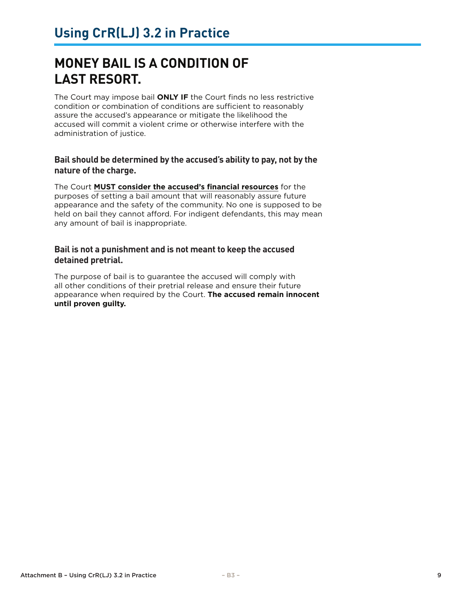### **MONEY BAIL IS A CONDITION OF LAST RESORT.**

The Court may impose bail **ONLY IF** the Court finds no less restrictive condition or combination of conditions are sufficient to reasonably assure the accused's appearance or mitigate the likelihood the accused will commit a violent crime or otherwise interfere with the administration of justice.

#### **Bail should be determined by the accused's ability to pay, not by the nature of the charge.**

The Court **MUST consider the accused's financial resources** for the purposes of setting a bail amount that will reasonably assure future appearance and the safety of the community. No one is supposed to be held on bail they cannot afford. For indigent defendants, this may mean any amount of bail is inappropriate.

#### **Bail is not a punishment and is not meant to keep the accused detained pretrial.**

The purpose of bail is to guarantee the accused will comply with all other conditions of their pretrial release and ensure their future appearance when required by the Court. **The accused remain innocent until proven guilty.**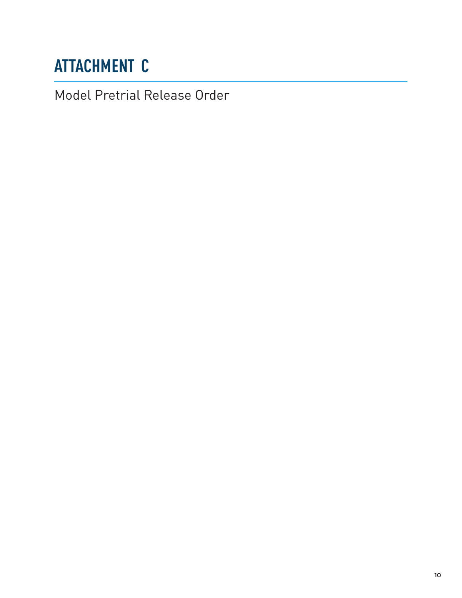# <span id="page-12-0"></span>**ATTACHMENT C**

Model Pretrial Release Order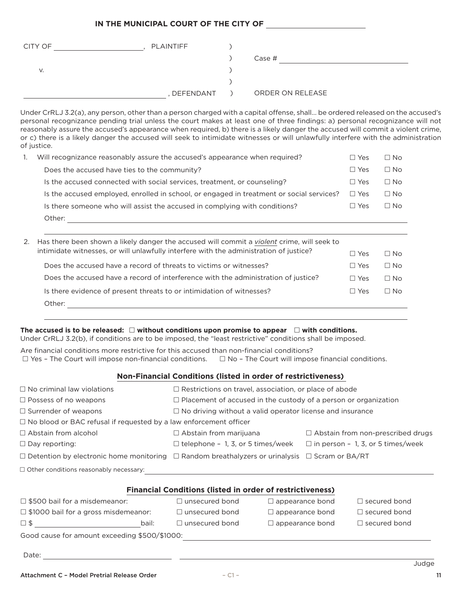#### **IN THE MUNICIPAL COURT OF THE CITY OF**

| CITY OF | PLAINTIFF |                  |
|---------|-----------|------------------|
|         |           | Case #           |
| v.      |           |                  |
|         |           |                  |
|         | DEFENDANT | ORDER ON RELEASE |

Under CrRLJ 3.2(a), any person, other than a person charged with a capital offense, shall… be ordered released on the accused's personal recognizance pending trial unless the court makes at least one of three findings: a) personal recognizance will not reasonably assure the accused's appearance when required, b) there is a likely danger the accused will commit a violent crime, or c) there is a likely danger the accused will seek to intimidate witnesses or will unlawfully interfere with the administration of justice.

| Will recognizance reasonably assure the accused's appearance when required?              | $\sqsupset$ Yes | $\Box$ No |
|------------------------------------------------------------------------------------------|-----------------|-----------|
| Does the accused have ties to the community?                                             | $\Box$ Yes      | $\Box$ No |
| Is the accused connected with social services, treatment, or counseling?                 | $\Box$ Yes      | $\Box$ No |
| Is the accused employed, enrolled in school, or engaged in treatment or social services? | $\Box$ Yes      | $\Box$ No |
| Is there someone who will assist the accused in complying with conditions?               | $\Box$ Yes      | $\Box$ No |
| Other:                                                                                   |                 |           |
|                                                                                          |                 |           |

| 2. Has there been shown a likely danger the accused will commit a <i>violent</i> crime, will seek to |            |           |
|------------------------------------------------------------------------------------------------------|------------|-----------|
| intimidate witnesses, or will unlawfully interfere with the administration of justice?               | $\Box$ Yes | ∩ No      |
| Does the accused have a record of threats to victims or witnesses?                                   | ∏ Yes      | $\Box$ No |
| Does the accused have a record of interference with the administration of justice?                   | ∏ Yes      | Π Nο      |
| Is there evidence of present threats to or intimidation of witnesses?                                | ∏ Yes      | $\Box$ No |
| Other:                                                                                               |            |           |

#### The accused is to be released:  $\square$  without conditions upon promise to appear  $\square$  with conditions.

Under CrRLJ 3.2(b), if conditions are to be imposed, the "least restrictive" conditions shall be imposed.

Are financial conditions more restrictive for this accused than non-financial conditions?  $\Box$  Yes - The Court will impose non-financial conditions.  $\Box$  No - The Court will impose financial conditions.

#### **Non-Financial Conditions (listed in order of restrictiveness)**

| $\Box$ No criminal law violations                                        | $\Box$ Restrictions on travel, association, or place of abode                                                  |                        |                                          |  |
|--------------------------------------------------------------------------|----------------------------------------------------------------------------------------------------------------|------------------------|------------------------------------------|--|
| $\Box$ Possess of no weapons                                             | $\Box$ Placement of accused in the custody of a person or organization                                         |                        |                                          |  |
| $\Box$ Surrender of weapons                                              | $\Box$ No driving without a valid operator license and insurance                                               |                        |                                          |  |
| $\Box$ No blood or BAC refusal if requested by a law enforcement officer |                                                                                                                |                        |                                          |  |
| $\Box$ Abstain from alcohol                                              | $\Box$ Abstain from marijuana                                                                                  |                        | $\Box$ Abstain from non-prescribed drugs |  |
| $\Box$ Day reporting:                                                    | $\Box$ telephone - 1, 3, or 5 times/week $\Box$ in person - 1, 3, or 5 times/week                              |                        |                                          |  |
|                                                                          | $\Box$ Detention by electronic home monitoring $\Box$ Random breathalyzers or urinalysis $\Box$ Scram or BA/RT |                        |                                          |  |
| $\Box$ Other conditions reasonably necessary:                            |                                                                                                                |                        |                                          |  |
|                                                                          | <b>Financial Conditions (listed in order of restrictiveness)</b>                                               |                        |                                          |  |
| $\Box$ \$500 bail for a misdemeanor:                                     | $\Box$ unsecured bond                                                                                          | $\Box$ appearance bond | $\Box$ secured bond                      |  |
| $\Box$ \$1000 bail for a gross misdemeanor:                              | $\Box$ unsecured bond                                                                                          | $\Box$ appearance bond | $\Box$ secured bond                      |  |
| <u>bail: and the second second bail:</u><br>$\square$ \$                 | $\Box$ unsecured bond                                                                                          | $\Box$ appearance bond | $\Box$ secured bond                      |  |
| Good cause for amount exceeding \$500/\$1000:                            |                                                                                                                |                        |                                          |  |
| Date:<br><u> 1980 - Jan Stein Berlin, amerikansk politiker (</u>         |                                                                                                                |                        | Judge                                    |  |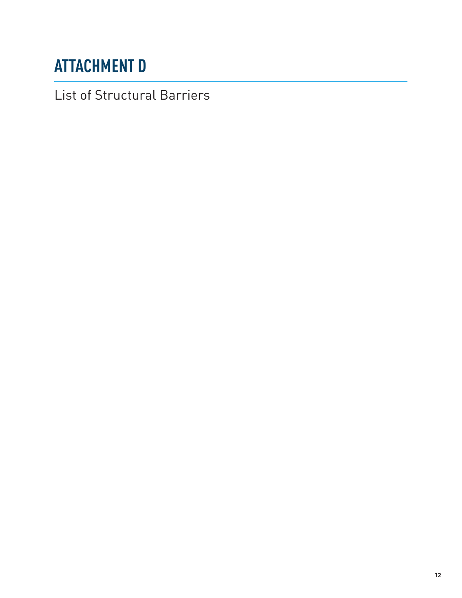# <span id="page-14-0"></span>**ATTACHMENT D**

List of Structural Barriers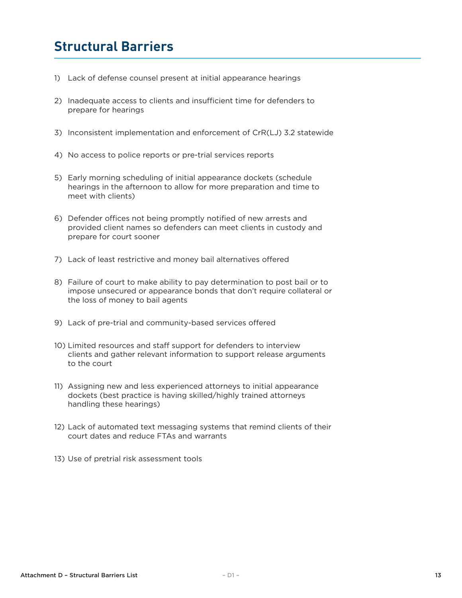### **Structural Barriers**

- 1) Lack of defense counsel present at initial appearance hearings
- 2) Inadequate access to clients and insufficient time for defenders to prepare for hearings
- 3) Inconsistent implementation and enforcement of CrR(LJ) 3.2 statewide
- 4) No access to police reports or pre-trial services reports
- 5) Early morning scheduling of initial appearance dockets (schedule hearings in the afternoon to allow for more preparation and time to meet with clients)
- 6) Defender offices not being promptly notified of new arrests and provided client names so defenders can meet clients in custody and prepare for court sooner
- 7) Lack of least restrictive and money bail alternatives offered
- 8) Failure of court to make ability to pay determination to post bail or to impose unsecured or appearance bonds that don't require collateral or the loss of money to bail agents
- 9) Lack of pre-trial and community-based services offered
- 10) Limited resources and staff support for defenders to interview clients and gather relevant information to support release arguments to the court
- 11) Assigning new and less experienced attorneys to initial appearance dockets (best practice is having skilled/highly trained attorneys handling these hearings)
- 12) Lack of automated text messaging systems that remind clients of their court dates and reduce FTAs and warrants
- 13) Use of pretrial risk assessment tools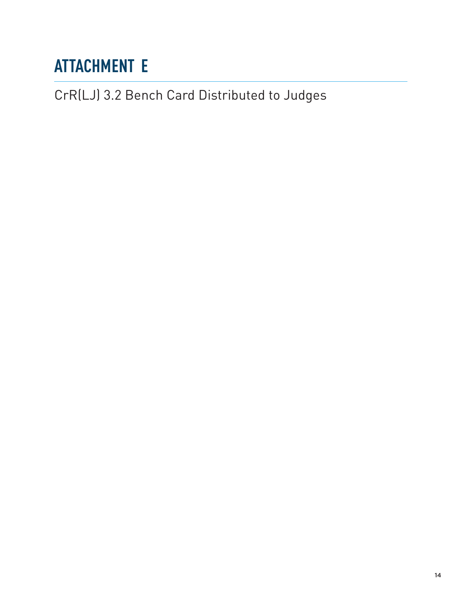# <span id="page-16-0"></span>**ATTACHMENT E**

CrR(LJ) 3.2 Bench Card Distributed to Judges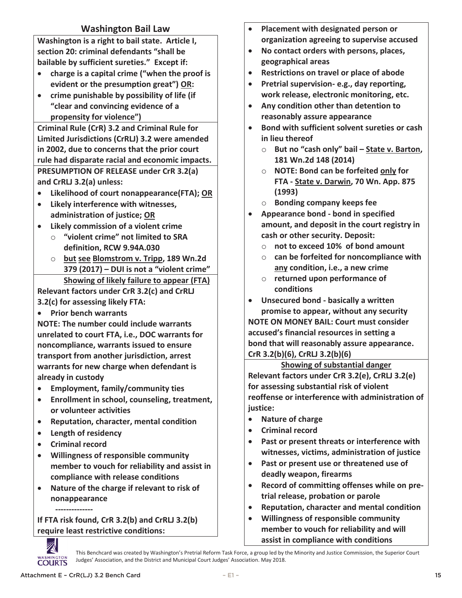#### **Washington Bail Law**

**Washington is a right to bail state. Article I, section 20: criminal defendants "shall be bailable by sufficient sureties." Except if:** 

- **charge is a capital crime ("when the proof is evident or the presumption great") OR:**
- **crime punishable by possibility of life (if "clear and convincing evidence of a propensity for violence")**

**Criminal Rule (CrR) 3.2 and Criminal Rule for Limited Jurisdictions (CrRLJ) 3.2 were amended in 2002, due to concerns that the prior court rule had disparate racial and economic impacts. PRESUMPTION OF RELEASE under CrR 3.2(a) and CrRLJ 3.2(a) unless:**

- **Likelihood of court nonappearance(FTA); OR**
- **Likely interference with witnesses, administration of justice; OR**
- **Likely commission of a violent crime**
	- o **"violent crime" not limited to SRA definition, RCW 9.94A.030**
	- o **but see Blomstrom v. Tripp, 189 Wn.2d 379 (2017) – DUI is not a "violent crime" Showing of likely failure to appear (FTA)**

**Relevant factors under CrR 3.2(c) and CrRLJ 3.2(c) for assessing likely FTA:**

**Prior bench warrants**

**NOTE: The number could include warrants unrelated to court FTA, i.e., DOC warrants for noncompliance, warrants issued to ensure transport from another jurisdiction, arrest warrants for new charge when defendant is already in custody**

- **Employment, family/community ties**
- **Enrollment in school, counseling, treatment, or volunteer activities**
- **Reputation, character, mental condition**
- **Length of residency**
- **Criminal record**

 **--------------**

- **Willingness of responsible community member to vouch for reliability and assist in compliance with release conditions**
- **Nature of the charge if relevant to risk of nonappearance**

**If FTA risk found, CrR 3.2(b) and CrRLJ 3.2(b) require least restrictive conditions:**

- **Placement with designated person or organization agreeing to supervise accused**
- **No contact orders with persons, places, geographical areas**
- **Restrictions on travel or place of abode**
- **Pretrial supervision- e.g., day reporting, work release, electronic monitoring, etc.**
- **Any condition other than detention to reasonably assure appearance**
- **Bond with sufficient solvent sureties or cash in lieu thereof**
	- o **But no "cash only" bail – State v. Barton, 181 Wn.2d 148 (2014)**
	- o **NOTE: Bond can be forfeited only for FTA - State v. Darwin, 70 Wn. App. 875 (1993)**
	- o **Bonding company keeps fee**
- **Appearance bond - bond in specified amount, and deposit in the court registry in cash or other security. Deposit:**
	- o **not to exceed 10% of bond amount**
	- o **can be forfeited for noncompliance with any condition, i.e., a new crime**
	- o **returned upon performance of conditions**
- **Unsecured bond - basically a written promise to appear, without any security**

**NOTE ON MONEY BAIL: Court must consider accused's financial resources in setting a bond that will reasonably assure appearance. CrR 3.2(b)(6), CrRLJ 3.2(b)(6)**

**Showing of substantial danger Relevant factors under CrR 3.2(e), CrRLJ 3.2(e) for assessing substantial risk of violent reoffense or interference with administration of justice:**

- **Nature of charge**
- **Criminal record**
- **Past or present threats or interference with witnesses, victims, administration of justice**
- **Past or present use or threatened use of deadly weapon, firearms**
- **Record of committing offenses while on pretrial release, probation or parole**
- **Reputation, character and mental condition**
- **Willingness of responsible community member to vouch for reliability and will assist in compliance with conditions**



This Benchcard was created by Washington's Pretrial Reform Task Force, a group led by the Minority and Justice Commission, the Superior Court Judges' Association, and the District and Municipal Court Judges' Association. May 2018.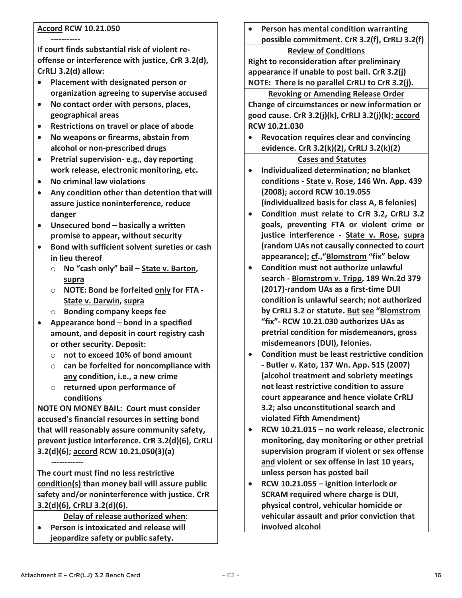#### **Accord RCW 10.21.050**

**----------- If court finds substantial risk of violent reoffense or interference with justice, CrR 3.2(d), CrRLJ 3.2(d) allow:**

- **Placement with designated person or organization agreeing to supervise accused**
- **No contact order with persons, places, geographical areas**
- **Restrictions on travel or place of abode**
- **No weapons or firearms, abstain from alcohol or non-prescribed drugs**
- **Pretrial supervision- e.g., day reporting work release, electronic monitoring, etc.**
- **No criminal law violations**
- **Any condition other than detention that will assure justice noninterference, reduce danger**
- **Unsecured bond – basically a written promise to appear, without security**
- **Bond with sufficient solvent sureties or cash in lieu thereof**
	- o **No "cash only" bail – State v. Barton, supra**
	- o **NOTE: Bond be forfeited only for FTA - State v. Darwin, supra**
	- o **Bonding company keeps fee**
- **Appearance bond – bond in a specified amount, and deposit in court registry cash or other security. Deposit:** 
	- o **not to exceed 10% of bond amount**
	- o **can be forfeited for noncompliance with any condition, i.e., a new crime**
	- o **returned upon performance of conditions**

**NOTE ON MONEY BAIL: Court must consider accused's financial resources in setting bond that will reasonably assure community safety, prevent justice interference. CrR 3.2(d)(6), CrRLJ 3.2(d)(6); accord RCW 10.21.050(3)(a)** 

 **------------ The court must find no less restrictive condition(s) than money bail will assure public safety and/or noninterference with justice. CrR 3.2(d)(6), CrRLJ 3.2(d)(6).**

**Delay of release authorized when:**

 **Person is intoxicated and release will jeopardize safety or public safety.** 

 **Person has mental condition warranting possible commitment. CrR 3.2(f), CrRLJ 3.2(f) Review of Conditions**

**Right to reconsideration after preliminary appearance if unable to post bail. CrR 3.2(j) NOTE: There is no parallel CrRLJ to CrR 3.2(j).**

#### **Revoking or Amending Release Order**

**Change of circumstances or new information or good cause. CrR 3.2(j)(k), CrRLJ 3.2(j)(k); accord RCW 10.21.030**

 **Revocation requires clear and convincing evidence. CrR 3.2(k)(2), CrRLJ 3.2(k)(2)**

#### **Cases and Statutes**

- **Individualized determination; no blanket conditions - State v. Rose, 146 Wn. App. 439 (2008); accord RCW 10.19.055 (individualized basis for class A, B felonies)**
- **Condition must relate to CrR 3.2, CrRLJ 3.2 goals, preventing FTA or violent crime or justice interference - State v. Rose, supra (random UAs not causally connected to court appearance); cf.,"Blomstrom "fix" below**
- **Condition must not authorize unlawful search - Blomstrom v. Tripp, 189 Wn.2d 379 (2017)-random UAs as a first-time DUI condition is unlawful search; not authorized by CrRLJ 3.2 or statute. But see "Blomstrom "fix"- RCW 10.21.030 authorizes UAs as pretrial condition for misdemeanors, gross misdemeanors (DUI), felonies.**
- **Condition must be least restrictive condition - Butler v. Kato, 137 Wn. App. 515 (2007) (alcohol treatment and sobriety meetings not least restrictive condition to assure court appearance and hence violate CrRLJ 3.2; also unconstitutional search and violated Fifth Amendment)**
- **RCW 10.21.015 – no work release, electronic monitoring, day monitoring or other pretrial supervision program if violent or sex offense and violent or sex offense in last 10 years, unless person has posted bail**
- **RCW 10.21.055 – ignition interlock or SCRAM required where charge is DUI, physical control, vehicular homicide or vehicular assault and prior conviction that involved alcohol**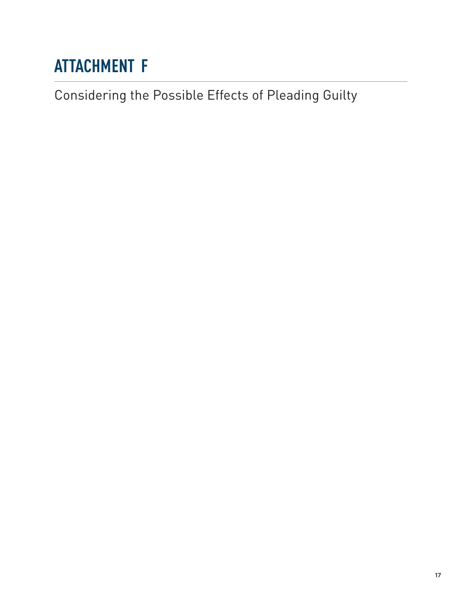# <span id="page-19-0"></span>**ATTACHMENT F**

Considering the Possible Effects of Pleading Guilty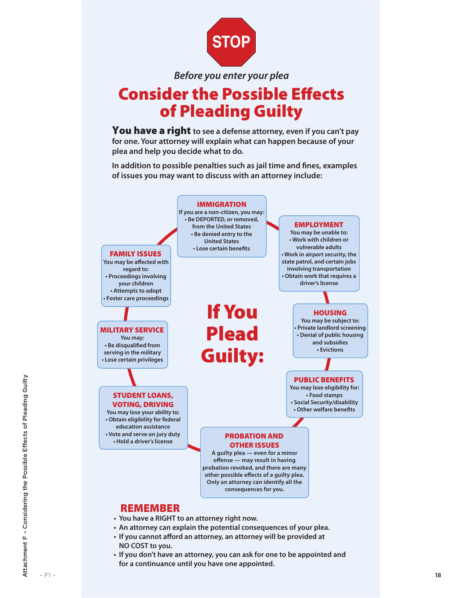

*Before you enter your plea*

### Consider the Possible Effects of Pleading Guilty

You have a right **to see a defense attorney, even if you can't pay for one. Your attorney will explain what can happen because of your plea and help you decide what to do.**

**In addition to possible penalties such as jail time and fines, examples of issues you may want to discuss with an attorney include:**



- **An attorney can explain the potential consequences of your plea.**
- **If you cannot afford an attorney, an attorney will be provided at NO COST to you.**
- **If you don't have an attorney, you can ask for one to be appointed and for a continuance until you have one appointed.**